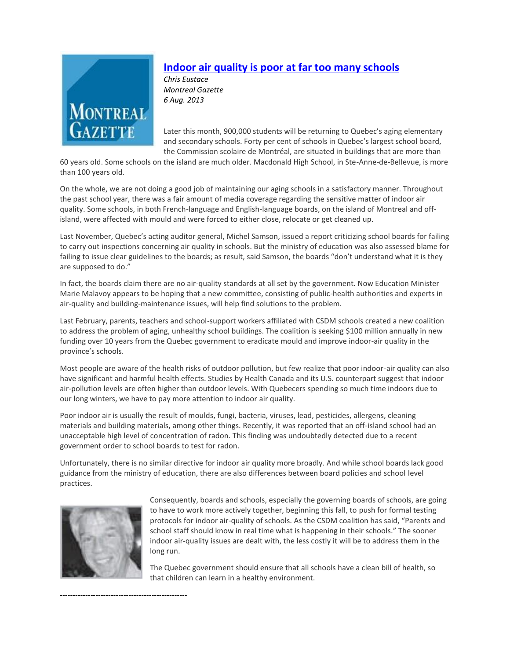

# **[Indoor air quality is poor at far too many schools](http://epaperclassic.montrealgazette.com/epaper/viewer.aspx?noredirect=true&bookmarkid=PQR9B4IDI875)**

*Chris Eustace Montreal Gazette 6 Aug. 2013*

Later this month, 900,000 students will be returning to Quebec's aging elementary and secondary schools. Forty per cent of schools in Quebec's largest school board, the Commission scolaire de Montréal, are situated in buildings that are more than

60 years old. Some schools on the island are much older. Macdonald High School, in Ste-Anne-de-Bellevue, is more than 100 years old.

On the whole, we are not doing a good job of maintaining our aging schools in a satisfactory manner. Throughout the past school year, there was a fair amount of media coverage regarding the sensitive matter of indoor air quality. Some schools, in both French-language and English-language boards, on the island of Montreal and offisland, were affected with mould and were forced to either close, relocate or get cleaned up.

Last November, Quebec's acting auditor general, Michel Samson, issued a report criticizing school boards for failing to carry out inspections concerning air quality in schools. But the ministry of education was also assessed blame for failing to issue clear guidelines to the boards; as result, said Samson, the boards "don't understand what it is they are supposed to do."

In fact, the boards claim there are no air-quality standards at all set by the government. Now Education Minister Marie Malavoy appears to be hoping that a new committee, consisting of public-health authorities and experts in air-quality and building-maintenance issues, will help find solutions to the problem.

Last February, parents, teachers and school-support workers affiliated with CSDM schools created a new coalition to address the problem of aging, unhealthy school buildings. The coalition is seeking \$100 million annually in new funding over 10 years from the Quebec government to eradicate mould and improve indoor-air quality in the province's schools.

Most people are aware of the health risks of outdoor pollution, but few realize that poor indoor-air quality can also have significant and harmful health effects. Studies by Health Canada and its U.S. counterpart suggest that indoor air-pollution levels are often higher than outdoor levels. With Quebecers spending so much time indoors due to our long winters, we have to pay more attention to indoor air quality.

Poor indoor air is usually the result of moulds, fungi, bacteria, viruses, lead, pesticides, allergens, cleaning materials and building materials, among other things. Recently, it was reported that an off-island school had an unacceptable high level of concentration of radon. This finding was undoubtedly detected due to a recent government order to school boards to test for radon.

Unfortunately, there is no similar directive for indoor air quality more broadly. And while school boards lack good guidance from the ministry of education, there are also differences between board policies and school level practices.



--------------------------------------------------

Consequently, boards and schools, especially the governing boards of schools, are going to have to work more actively together, beginning this fall, to push for formal testing protocols for indoor air-quality of schools. As the CSDM coalition has said, "Parents and school staff should know in real time what is happening in their schools." The sooner indoor air-quality issues are dealt with, the less costly it will be to address them in the long run.

The Quebec government should ensure that all schools have a clean bill of health, so that children can learn in a healthy environment.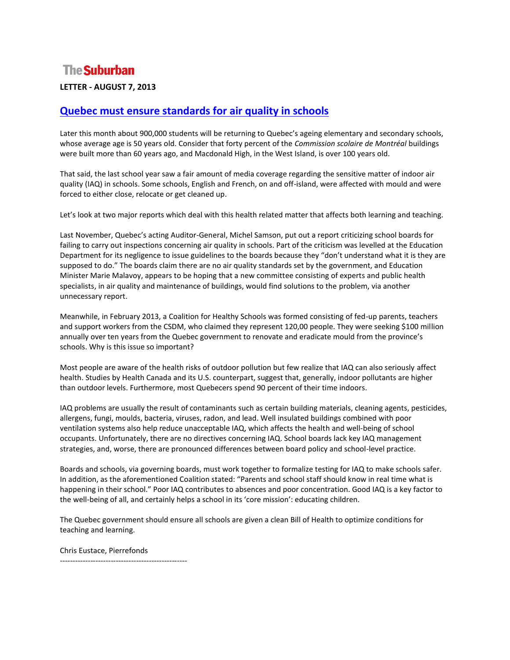# **The Suburban**

#### **LETTER - AUGUST 7, 2013**

### **[Quebec must ensure standards for air quality in schools](https://www.thesuburban.com/eedition/page-subw17/page_7441f705-a0dd-546c-8d61-9940a68ea479.html)**

Later this month about 900,000 students will be returning to Quebec's ageing elementary and secondary schools, whose average age is 50 years old. Consider that forty percent of the *Commission scolaire de Montréal* buildings were built more than 60 years ago, and Macdonald High, in the West Island, is over 100 years old.

That said, the last school year saw a fair amount of media coverage regarding the sensitive matter of indoor air quality (IAQ) in schools. Some schools, English and French, on and off-island, were affected with mould and were forced to either close, relocate or get cleaned up.

Let's look at two major reports which deal with this health related matter that affects both learning and teaching.

Last November, Quebec's acting Auditor-General, Michel Samson, put out a report criticizing school boards for failing to carry out inspections concerning air quality in schools. Part of the criticism was levelled at the Education Department for its negligence to issue guidelines to the boards because they "don't understand what it is they are supposed to do." The boards claim there are no air quality standards set by the government, and Education Minister Marie Malavoy, appears to be hoping that a new committee consisting of experts and public health specialists, in air quality and maintenance of buildings, would find solutions to the problem, via another unnecessary report.

Meanwhile, in February 2013, a Coalition for Healthy Schools was formed consisting of fed-up parents, teachers and support workers from the CSDM, who claimed they represent 120,00 people. They were seeking \$100 million annually over ten years from the Quebec government to renovate and eradicate mould from the province's schools. Why is this issue so important?

Most people are aware of the health risks of outdoor pollution but few realize that IAQ can also seriously affect health. Studies by Health Canada and its U.S. counterpart, suggest that, generally, indoor pollutants are higher than outdoor levels. Furthermore, most Quebecers spend 90 percent of their time indoors.

IAQ problems are usually the result of contaminants such as certain building materials, cleaning agents, pesticides, allergens, fungi, moulds, bacteria, viruses, radon, and lead. Well insulated buildings combined with poor ventilation systems also help reduce unacceptable IAQ, which affects the health and well-being of school occupants. Unfortunately, there are no directives concerning IAQ. School boards lack key IAQ management strategies, and, worse, there are pronounced differences between board policy and school-level practice.

Boards and schools, via governing boards, must work together to formalize testing for IAQ to make schools safer. In addition, as the aforementioned Coalition stated: "Parents and school staff should know in real time what is happening in their school." Poor IAQ contributes to absences and poor concentration. Good IAQ is a key factor to the well-being of all, and certainly helps a school in its 'core mission': educating children.

The Quebec government should ensure all schools are given a clean Bill of Health to optimize conditions for teaching and learning.

Chris Eustace, Pierrefonds

--------------------------------------------------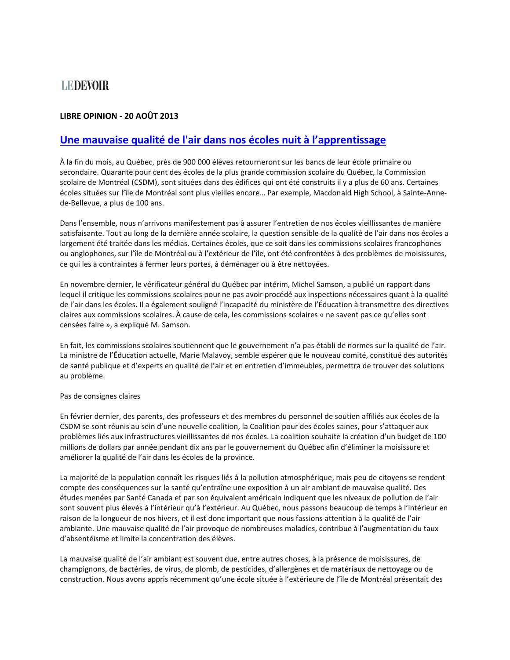# **LEDEVOIR**

#### **LIBRE OPINION - 20 AOÛT 2013**

### **[Une mauvaise qualité de l'air dans nos écoles nuit à l'apprentissage](https://www.ledevoir.com/opinion/libre-opinion/385484/une-mauvaise-qualite-de-l-air-dans-nos-ecoles-nuit-a-l-apprentissage)**

À la fin du mois, au Québec, près de 900 000 élèves retourneront sur les bancs de leur école primaire ou secondaire. Quarante pour cent des écoles de la plus grande commission scolaire du Québec, la Commission scolaire de Montréal (CSDM), sont situées dans des édifices qui ont été construits il y a plus de 60 ans. Certaines écoles situées sur l'île de Montréal sont plus vieilles encore… Par exemple, Macdonald High School, à Sainte-Annede-Bellevue, a plus de 100 ans.

Dans l'ensemble, nous n'arrivons manifestement pas à assurer l'entretien de nos écoles vieillissantes de manière satisfaisante. Tout au long de la dernière année scolaire, la question sensible de la qualité de l'air dans nos écoles a largement été traitée dans les médias. Certaines écoles, que ce soit dans les commissions scolaires francophones ou anglophones, sur l'île de Montréal ou à l'extérieur de l'île, ont été confrontées à des problèmes de moisissures, ce qui les a contraintes à fermer leurs portes, à déménager ou à être nettoyées.

En novembre dernier, le vérificateur général du Québec par intérim, Michel Samson, a publié un rapport dans lequel il critique les commissions scolaires pour ne pas avoir procédé aux inspections nécessaires quant à la qualité de l'air dans les écoles. Il a également souligné l'incapacité du ministère de l'Éducation à transmettre des directives claires aux commissions scolaires. À cause de cela, les commissions scolaires « ne savent pas ce qu'elles sont censées faire », a expliqué M. Samson.

En fait, les commissions scolaires soutiennent que le gouvernement n'a pas établi de normes sur la qualité de l'air. La ministre de l'Éducation actuelle, Marie Malavoy, semble espérer que le nouveau comité, constitué des autorités de santé publique et d'experts en qualité de l'air et en entretien d'immeubles, permettra de trouver des solutions au problème.

#### Pas de consignes claires

En février dernier, des parents, des professeurs et des membres du personnel de soutien affiliés aux écoles de la CSDM se sont réunis au sein d'une nouvelle coalition, la Coalition pour des écoles saines, pour s'attaquer aux problèmes liés aux infrastructures vieillissantes de nos écoles. La coalition souhaite la création d'un budget de 100 millions de dollars par année pendant dix ans par le gouvernement du Québec afin d'éliminer la moisissure et améliorer la qualité de l'air dans les écoles de la province.

La majorité de la population connaît les risques liés à la pollution atmosphérique, mais peu de citoyens se rendent compte des conséquences sur la santé qu'entraîne une exposition à un air ambiant de mauvaise qualité. Des études menées par Santé Canada et par son équivalent américain indiquent que les niveaux de pollution de l'air sont souvent plus élevés à l'intérieur qu'à l'extérieur. Au Québec, nous passons beaucoup de temps à l'intérieur en raison de la longueur de nos hivers, et il est donc important que nous fassions attention à la qualité de l'air ambiante. Une mauvaise qualité de l'air provoque de nombreuses maladies, contribue à l'augmentation du taux d'absentéisme et limite la concentration des élèves.

La mauvaise qualité de l'air ambiant est souvent due, entre autres choses, à la présence de moisissures, de champignons, de bactéries, de virus, de plomb, de pesticides, d'allergènes et de matériaux de nettoyage ou de construction. Nous avons appris récemment qu'une école située à l'extérieure de l'île de Montréal présentait des